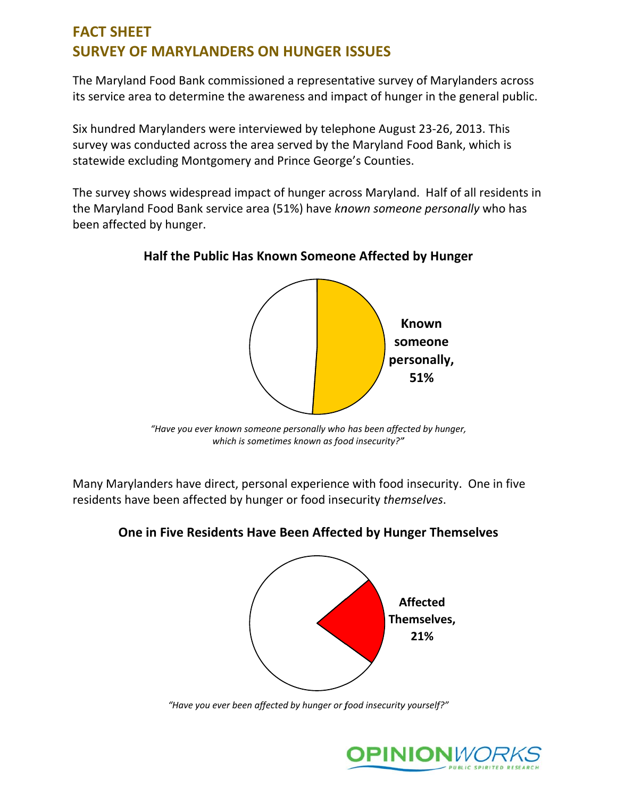### **FACT SHEET SURVEY OF MARYLANDERS ON HUNGER ISSUES**

The Maryland Food Bank commissioned a representative survey of Marylanders across its service area to determine the awareness and impact of hunger in the general public.

Six hundred Marylanders were interviewed by telephone August 23-26, 2013. This survey was conducted across the area served by the Maryland Food Bank, which is statewide excluding Montgomery and Prince George's Counties.

The survey shows widespread impact of hunger across Maryland. Half of all residents in the Maryland Food Bank service area (51%) have known someone personally who has been affected by hunger.

# **Known** someone personally, 51%

#### Half the Public Has Known Someone Affected by Hunger

"Have you ever known someone personally who has been affected by hunger, which is sometimes known as food insecurity?"

Many Marylanders have direct, personal experience with food insecurity. One in five residents have been affected by hunger or food insecurity themselves.

#### One in Five Residents Have Been Affected by Hunger Themselves



"Have you ever been affected by hunger or food insecurity yourself?"